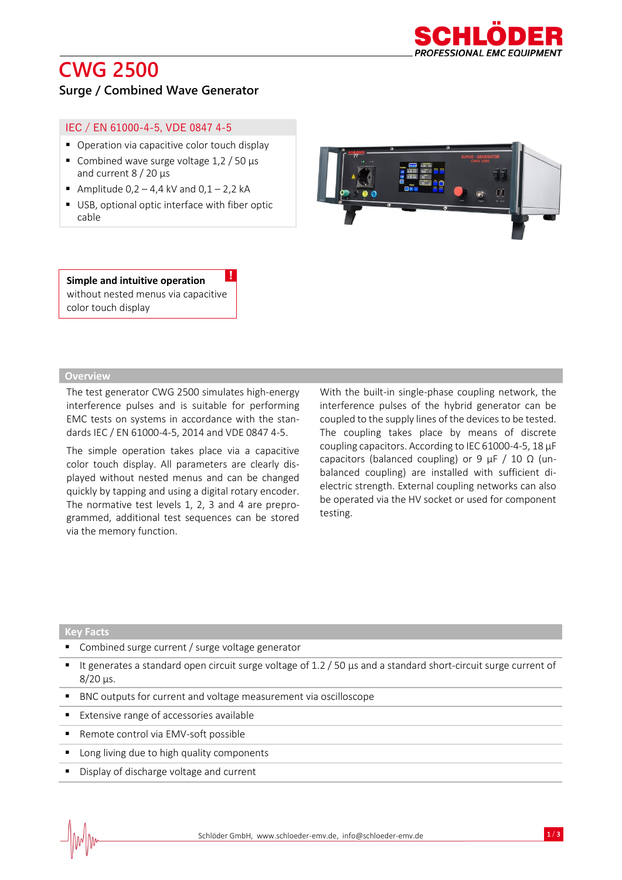# **CWG 2500**



### **Surge / Combined Wave Generator**

#### IEC / EN 61000-4-5, VDE 0847 4-5

- Operation via capacitive color touch display
- Combined wave surge voltage  $1,2 / 50 \mu s$ and current 8 / 20 µs
- Amplitude 0,2  $-$  4,4 kV and 0,1  $-$  2,2 kA
- USB, optional optic interface with fiber optic cable



**Simple and intuitive operation**  without nested menus via capacitive color touch display !

#### **Overview**

The test generator CWG 2500 simulates high-energy interference pulses and is suitable for performing EMC tests on systems in accordance with the standards IEC / EN 61000-4-5, 2014 and VDE 0847 4-5.

The simple operation takes place via a capacitive color touch display. All parameters are clearly displayed without nested menus and can be changed quickly by tapping and using a digital rotary encoder. The normative test levels 1, 2, 3 and 4 are preprogrammed, additional test sequences can be stored via the memory function.

With the built-in single-phase coupling network, the interference pulses of the hybrid generator can be coupled to the supply lines of the devices to be tested. The coupling takes place by means of discrete coupling capacitors. According to IEC 61000-4-5, 18 μF capacitors (balanced coupling) or 9  $\mu$ F / 10  $\Omega$  (unbalanced coupling) are installed with sufficient dielectric strength. External coupling networks can also be operated via the HV socket or used for component testing.

#### **Key Facts**

- Combined surge current / surge voltage generator
- It generates a standard open circuit surge voltage of 1.2 / 50 µs and a standard short-circuit surge current of 8/20 μs.
- BNC outputs for current and voltage measurement via oscilloscope
- Extensive range of accessories available
- Remote control via EMV-soft possible
- Long living due to high quality components
- Display of discharge voltage and current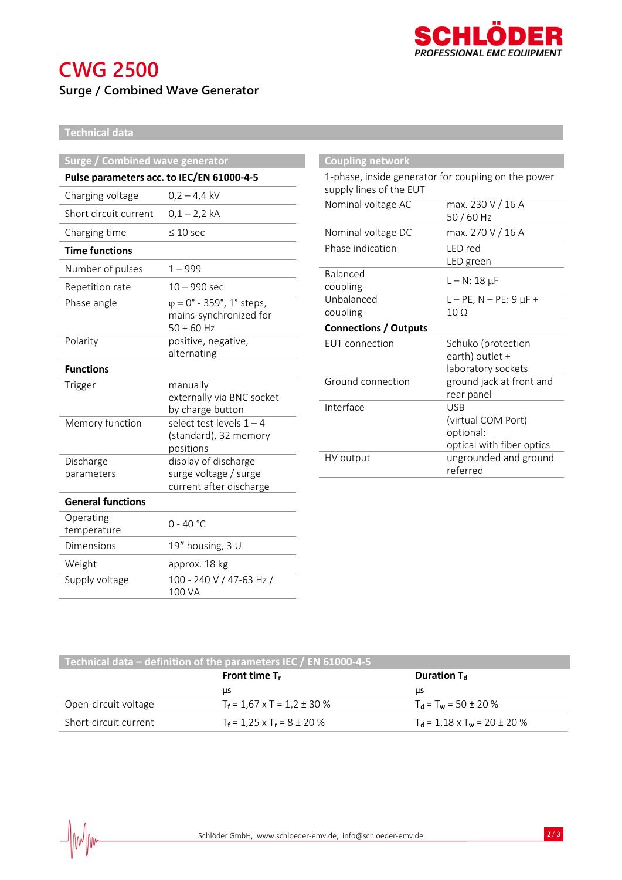

## **CWG 2500 Surge / Combined Wave Generator**

### **Technical data**

| <b>Surge / Combined wave generator</b>    |                                                                                   |  |
|-------------------------------------------|-----------------------------------------------------------------------------------|--|
| Pulse parameters acc. to IEC/EN 61000-4-5 |                                                                                   |  |
| Charging voltage                          | $0,2 - 4,4$ kV                                                                    |  |
| Short circuit current                     | $0,1 - 2,2$ kA                                                                    |  |
| Charging time                             | $\leq 10$ sec                                                                     |  |
| <b>Time functions</b>                     |                                                                                   |  |
| Number of pulses                          | $1 - 999$                                                                         |  |
| Repetition rate                           | $10 - 990$ sec                                                                    |  |
| Phase angle                               | $\varphi = 0^{\circ}$ - 359°, 1° steps,<br>mains-synchronized for<br>$50 + 60$ Hz |  |
| Polarity                                  | positive, negative,<br>alternating                                                |  |
| <b>Functions</b>                          |                                                                                   |  |
| Trigger                                   | manually<br>externally via BNC socket<br>by charge button                         |  |
| Memory function                           | select test levels $1 - 4$<br>(standard), 32 memory<br>positions                  |  |
| Discharge<br>parameters                   | display of discharge<br>surge voltage / surge<br>current after discharge          |  |
| <b>General functions</b>                  |                                                                                   |  |
| Operating<br>temperature                  | $0 - 40 °C$                                                                       |  |
| <b>Dimensions</b>                         | 19" housing, 3 U                                                                  |  |
| Weight                                    | approx. 18 kg                                                                     |  |
| Supply voltage                            | 100 - 240 V / 47-63 Hz /<br>100 VA                                                |  |

| <b>Coupling network</b>                                                        |                                                                     |  |
|--------------------------------------------------------------------------------|---------------------------------------------------------------------|--|
| 1-phase, inside generator for coupling on the power<br>supply lines of the EUT |                                                                     |  |
| Nominal voltage AC                                                             | max. 230 V / 16 A<br>50 / 60 Hz                                     |  |
| Nominal voltage DC                                                             | max. 270 V / 16 A                                                   |  |
| Phase indication                                                               | <b>IFD</b> red<br>LED green                                         |  |
| <b>Balanced</b><br>coupling                                                    | $L - N: 18 \mu F$                                                   |  |
| Unbalanced                                                                     | $L - PE$ , $N - PE$ : 9 $\mu F +$                                   |  |
| coupling                                                                       | $10 \Omega$                                                         |  |
| <b>Connections / Outputs</b>                                                   |                                                                     |  |
| <b>EUT</b> connection                                                          | Schuko (protection<br>earth) outlet +<br>laboratory sockets         |  |
| Ground connection                                                              | ground jack at front and<br>rear panel                              |  |
| Interface                                                                      | USB<br>(virtual COM Port)<br>optional:<br>optical with fiber optics |  |
| HV output                                                                      | ungrounded and ground<br>referred                                   |  |

| Technical data $-$ definition of the parameters IEC / EN 61000-4-5 |                                       |                                        |  |  |
|--------------------------------------------------------------------|---------------------------------------|----------------------------------------|--|--|
|                                                                    | Front time $T_r$                      | Duration T <sub>d</sub>                |  |  |
|                                                                    | μs                                    | μs                                     |  |  |
| Open-circuit voltage                                               | $T_f = 1.67$ x T = 1.2 ± 30 %         | $T_d = T_w = 50 \pm 20 \%$             |  |  |
| Short-circuit current                                              | $T_1 = 1.25 \times T_1 = 8 \pm 20 \%$ | $T_d = 1.18 \times T_w = 20 \pm 20 \%$ |  |  |